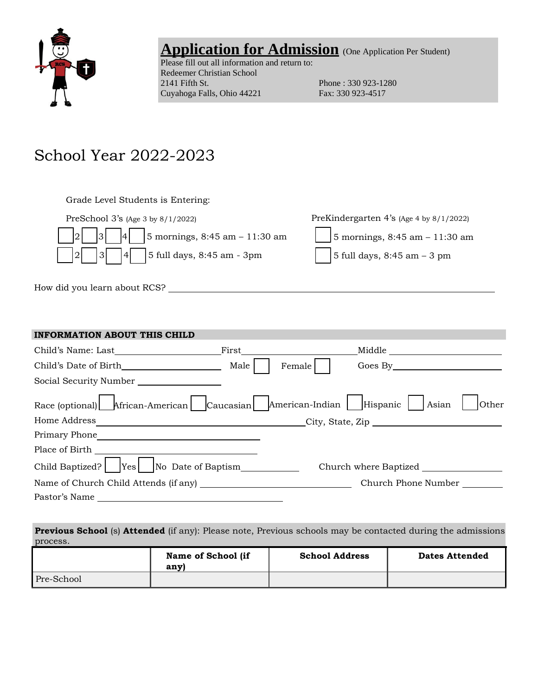

## Application for Admission (One Application Per Student)

Please fill out all information and return to: Redeemer Christian School<br>2141 Fifth St. Cuyahoga Falls, Ohio 44221 Fax: 330 923-4517

Phone : 330 923-1280

# School Year 2022-2023

| Grade Level Students is Entering:                                          |                                            |
|----------------------------------------------------------------------------|--------------------------------------------|
| PreSchool 3's (Age 3 by 8/1/2022)                                          | PreKindergarten 4's (Age 4 by $8/1/2022$ ) |
| $\begin{vmatrix} 2 & 3 & 4 \end{vmatrix}$   5 mornings, 8:45 am - 11:30 am | 5 mornings, 8:45 am $- 11:30$ am           |
| $\begin{vmatrix} 2 & 3 & 4 \end{vmatrix}$ 5 full days, 8:45 am - 3pm       | 5 full days, $8:45$ am $-3$ pm             |
|                                                                            |                                            |

How did you learn about RCS?

| <b>INFORMATION ABOUT THIS CHILD</b>                                                                                                                                                                                                                   |      |        |                                                                                                                                                                                                                                |
|-------------------------------------------------------------------------------------------------------------------------------------------------------------------------------------------------------------------------------------------------------|------|--------|--------------------------------------------------------------------------------------------------------------------------------------------------------------------------------------------------------------------------------|
| Child's Name: Last                                                                                                                                                                                                                                    |      |        | Middle                                                                                                                                                                                                                         |
|                                                                                                                                                                                                                                                       | Male | Female | Goes By the contract of the contract of the contract of the contract of the contract of the contract of the contract of the contract of the contract of the contract of the contract of the contract of the contract of the co |
| Social Security Number                                                                                                                                                                                                                                |      |        |                                                                                                                                                                                                                                |
| Race (optional)   African-American   Caucasian   American-Indian   Hispanic   Asian                                                                                                                                                                   |      |        | Other                                                                                                                                                                                                                          |
| Home Address                                                                                                                                                                                                                                          |      |        | $\text{City, State, Zip }$                                                                                                                                                                                                     |
| Primary Phone<br><u> 1989 - Andrea State Barbara, amerikan personal dan personal dan personal dan personal dan personal dan personal dan personal dan personal dan personal dan personal dan personal dan personal dan personal dan personal dan </u> |      |        |                                                                                                                                                                                                                                |
| Place of Birth                                                                                                                                                                                                                                        |      |        |                                                                                                                                                                                                                                |
| Child Baptized?   $ Yes $   No Date of Baptism                                                                                                                                                                                                        |      |        |                                                                                                                                                                                                                                |
| Name of Church Child Attends (if any)                                                                                                                                                                                                                 |      |        | Church Phone Number                                                                                                                                                                                                            |
| Pastor's Name                                                                                                                                                                                                                                         |      |        |                                                                                                                                                                                                                                |
|                                                                                                                                                                                                                                                       |      |        |                                                                                                                                                                                                                                |

| <b>Previous School</b> (s) <b>Attended</b> (if any): Please note, Previous schools may be contacted during the admissions |                       |                       |
|---------------------------------------------------------------------------------------------------------------------------|-----------------------|-----------------------|
| process.                                                                                                                  |                       |                       |
| Name of School (if                                                                                                        | <b>School Address</b> | <b>Dates Attended</b> |

|            | Name of School (if<br>anvl | <b>School Address</b> | <b>Dates Attended</b> |
|------------|----------------------------|-----------------------|-----------------------|
| Pre-School |                            |                       |                       |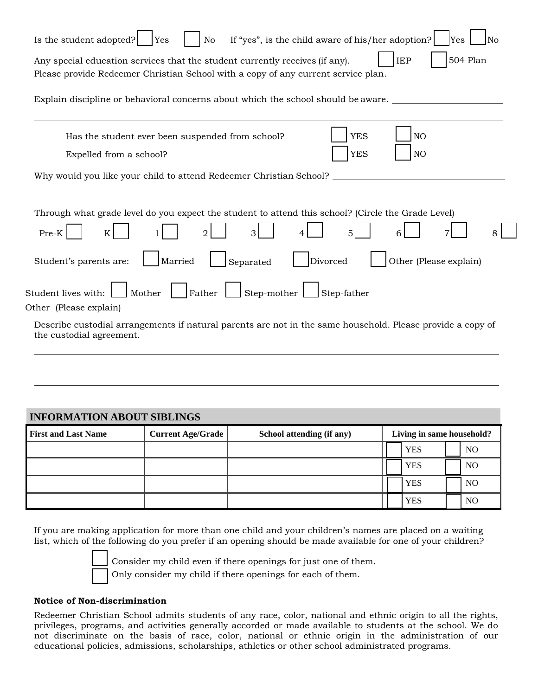| Is the student adopted?<br>Yes<br>If "yes", is the child aware of his/her adoption?<br>Yes<br>No<br>No                                                                                                        |
|---------------------------------------------------------------------------------------------------------------------------------------------------------------------------------------------------------------|
| <b>504 Plan</b><br><b>IEP</b><br>Any special education services that the student currently receives (if any).<br>Please provide Redeemer Christian School with a copy of any current service plan.            |
| Explain discipline or behavioral concerns about which the school should be aware.                                                                                                                             |
| <b>YES</b><br>NO<br>Has the student ever been suspended from school?<br><b>YES</b><br>NO<br>Expelled from a school?<br>Why would you like your child to attend Redeemer Christian School?                     |
| Through what grade level do you expect the student to attend this school? (Circle the Grade Level)<br>Pre-K<br>K<br>Divorced<br>Other (Please explain)<br>Married<br>Student's parents are:<br>Separated      |
| Mother<br>Father<br>Step-mother<br>Student lives with:<br>Step-father<br>Other (Please explain)<br>Describe custodial arrangements if natural parents are not in the same household. Please provide a copy of |
| the custodial agreement.                                                                                                                                                                                      |
| NIFODMATION ADOUT SIDI INCS                                                                                                                                                                                   |

## **INFORMATION ABOUT SIBLINGS** First and Last Name **Current Age/Grade** School attending (if any) **Living in same household?** YES | NO YES | NO YES | NO YES | NO

If you are making application for more than one child and your children's names are placed on a waiting list, which of the following do you prefer if an opening should be made available for one of your children?



Consider my child even if there openings for just one of them. Only consider my child if there openings for each of them.

#### **Notice of Non-discrimination**

Redeemer Christian School admits students of any race, color, national and ethnic origin to all the rights, privileges, programs, and activities generally accorded or made available to students at the school. We do not discriminate on the basis of race, color, national or ethnic origin in the administration of our educational policies, admissions, scholarships, athletics or other school administrated programs.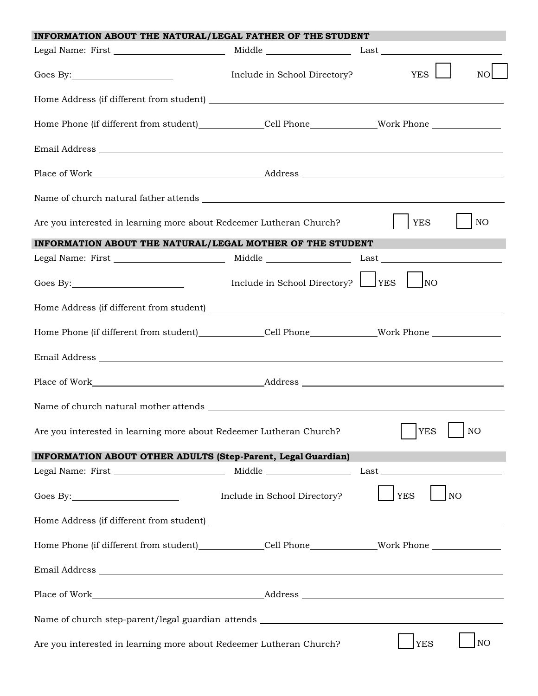| INFORMATION ABOUT THE NATURAL/LEGAL FATHER OF THE STUDENT                                                                                    |                                      |                               |  |
|----------------------------------------------------------------------------------------------------------------------------------------------|--------------------------------------|-------------------------------|--|
|                                                                                                                                              |                                      |                               |  |
|                                                                                                                                              | Include in School Directory?         | <b>YES</b><br>NO.             |  |
|                                                                                                                                              |                                      |                               |  |
| Home Phone (if different from student)______________Cell Phone_______________Work Phone ______________________                               |                                      |                               |  |
|                                                                                                                                              |                                      |                               |  |
|                                                                                                                                              |                                      |                               |  |
|                                                                                                                                              |                                      |                               |  |
| Are you interested in learning more about Redeemer Lutheran Church?                                                                          |                                      | <b>YES</b><br>NO              |  |
| INFORMATION ABOUT THE NATURAL/LEGAL MOTHER OF THE STUDENT                                                                                    |                                      | <u>r Tarihi</u>               |  |
|                                                                                                                                              |                                      |                               |  |
|                                                                                                                                              | Include in School Directory? VES UNO |                               |  |
|                                                                                                                                              |                                      |                               |  |
| Home Phone (if different from student)_____________Cell Phone______________Work Phone ______________                                         |                                      |                               |  |
|                                                                                                                                              |                                      |                               |  |
|                                                                                                                                              |                                      |                               |  |
|                                                                                                                                              |                                      |                               |  |
| $\overline{\phantom{a}}$ $\overline{\phantom{a}}$<br><b>YES</b><br>NO<br>Are you interested in learning more about Redeemer Lutheran Church? |                                      |                               |  |
| INFORMATION ABOUT OTHER ADULTS (Step-Parent, Legal Guardian)                                                                                 |                                      |                               |  |
|                                                                                                                                              |                                      |                               |  |
|                                                                                                                                              | Include in School Directory?         | <b>YES</b><br>NO              |  |
|                                                                                                                                              |                                      |                               |  |
| Home Phone (if different from student)_____________Cell Phone______________Work Phone ______________                                         |                                      |                               |  |
|                                                                                                                                              |                                      |                               |  |
|                                                                                                                                              |                                      |                               |  |
|                                                                                                                                              |                                      |                               |  |
| Are you interested in learning more about Redeemer Lutheran Church?                                                                          |                                      | NO <sub>1</sub><br><b>YES</b> |  |